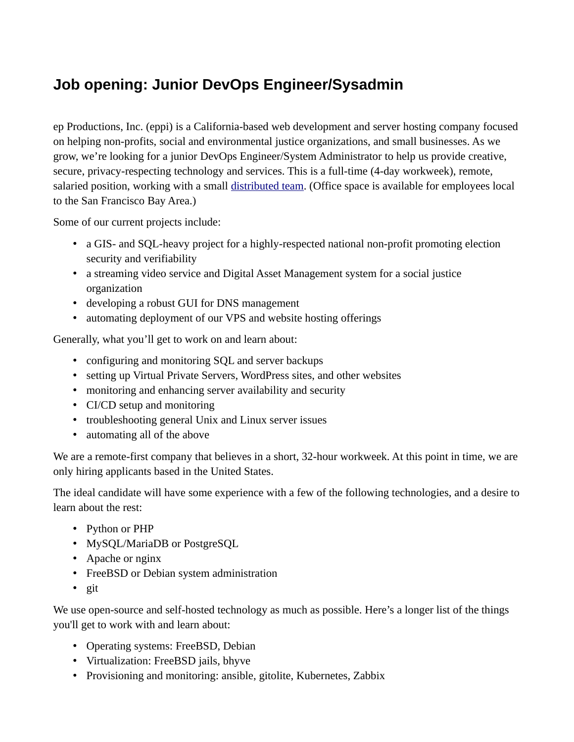## **Job opening: Junior DevOps Engineer/Sysadmin**

ep Productions, Inc. (eppi) is a California-based web development and server hosting company focused on helping non-profits, social and environmental justice organizations, and small businesses. As we grow, we're looking for a junior DevOps Engineer/System Administrator to help us provide creative, secure, privacy-respecting technology and services. This is a full-time (4-day workweek), remote, salaried position, working with a small [distributed team](https://eppi.com/team.html). (Office space is available for employees local to the San Francisco Bay Area.)

Some of our current projects include:

- a GIS- and SQL-heavy project for a highly-respected national non-profit promoting election security and verifiability
- a streaming video service and Digital Asset Management system for a social justice organization
- developing a robust GUI for DNS management
- automating deployment of our VPS and website hosting offerings

Generally, what you'll get to work on and learn about:

- configuring and monitoring SQL and server backups
- setting up Virtual Private Servers, WordPress sites, and other websites
- monitoring and enhancing server availability and security
- CI/CD setup and monitoring
- troubleshooting general Unix and Linux server issues
- automating all of the above

We are a remote-first company that believes in a short, 32-hour workweek. At this point in time, we are only hiring applicants based in the United States.

The ideal candidate will have some experience with a few of the following technologies, and a desire to learn about the rest:

- Python or PHP
- MySQL/MariaDB or PostgreSQL
- Apache or nginx
- FreeBSD or Debian system administration
- git

We use open-source and self-hosted technology as much as possible. Here's a longer list of the things you'll get to work with and learn about:

- Operating systems: FreeBSD, Debian
- Virtualization: FreeBSD jails, bhyve
- Provisioning and monitoring: ansible, gitolite, Kubernetes, Zabbix